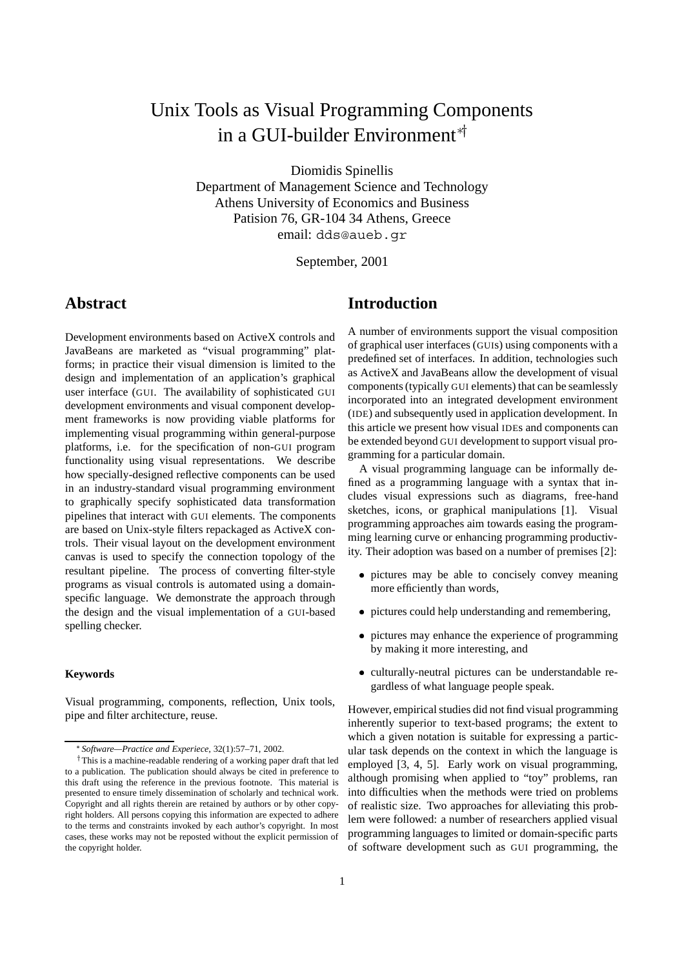# Unix Tools as Visual Programming Components in a GUI-builder Environment<sup>\*†</sup>

Diomidis Spinellis

Department of Management Science and Technology Athens University of Economics and Business Patision 76, GR-104 34 Athens, Greece

email: dds@aueb.gr

September, 2001

## **Abstract**

Development environments based on ActiveX controls and JavaBeans are marketed as "visual programming" platforms; in practice their visual dimension is limited to the design and implementation of an application's graphical user interface (GUI. The availability of sophisticated GUI development environments and visual component development frameworks is now providing viable platforms for implementing visual programming within general-purpose platforms, i.e. for the specification of non-GUI program functionality using visual representations. We describe how specially-designed reflective components can be used in an industry-standard visual programming environment to graphically specify sophisticated data transformation pipelines that interact with GUI elements. The components are based on Unix-style filters repackaged as ActiveX controls. Their visual layout on the development environment canvas is used to specify the connection topology of the resultant pipeline. The process of converting filter-style programs as visual controls is automated using a domainspecific language. We demonstrate the approach through the design and the visual implementation of a GUI-based spelling checker.

#### **Keywords**

Visual programming, components, reflection, Unix tools, pipe and filter architecture, reuse.

# **Introduction**

A number of environments support the visual composition of graphical user interfaces (GUIs) using components with a predefined set of interfaces. In addition, technologies such as ActiveX and JavaBeans allow the development of visual components (typically GUI elements) that can be seamlessly incorporated into an integrated development environment (IDE) and subsequently used in application development. In this article we present how visual IDEs and components can be extended beyond GUI development to support visual programming for a particular domain.

A visual programming language can be informally defined as a programming language with a syntax that includes visual expressions such as diagrams, free-hand sketches, icons, or graphical manipulations [1]. Visual programming approaches aim towards easing the programming learning curve or enhancing programming productivity. Their adoption was based on a number of premises [2]:

- pictures may be able to concisely convey meaning more efficiently than words,
- pictures could help understanding and remembering,
- pictures may enhance the experience of programming by making it more interesting, and
- culturally-neutral pictures can be understandable regardless of what language people speak.

However, empirical studies did not find visual programming inherently superior to text-based programs; the extent to which a given notation is suitable for expressing a particular task depends on the context in which the language is employed [3, 4, 5]. Early work on visual programming, although promising when applied to "toy" problems, ran into difficulties when the methods were tried on problems of realistic size. Two approaches for alleviating this problem were followed: a number of researchers applied visual programming languages to limited or domain-specific parts of software development such as GUI programming, the

*Software—Practice and Experiece*, 32(1):57–71, 2002.

<sup>&</sup>lt;sup>†</sup>This is a machine-readable rendering of a working paper draft that led to a publication. The publication should always be cited in preference to this draft using the reference in the previous footnote. This material is presented to ensure timely dissemination of scholarly and technical work. Copyright and all rights therein are retained by authors or by other copyright holders. All persons copying this information are expected to adhere to the terms and constraints invoked by each author's copyright. In most cases, these works may not be reposted without the explicit permission of the copyright holder.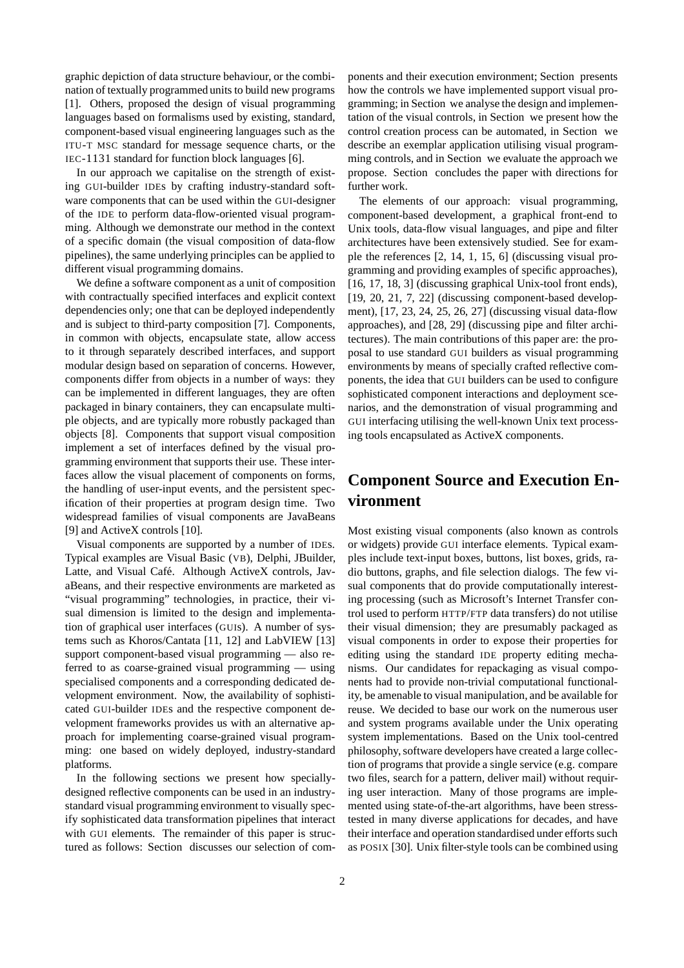graphic depiction of data structure behaviour, or the combination of textually programmed units to build new programs [1]. Others, proposed the design of visual programming languages based on formalisms used by existing, standard, component-based visual engineering languages such as the ITU-T MSC standard for message sequence charts, or the IEC-1131 standard for function block languages [6].

In our approach we capitalise on the strength of existing GUI-builder IDEs by crafting industry-standard software components that can be used within the GUI-designer of the IDE to perform data-flow-oriented visual programming. Although we demonstrate our method in the context of a specific domain (the visual composition of data-flow pipelines), the same underlying principles can be applied to different visual programming domains.

We define a software component as a unit of composition with contractually specified interfaces and explicit context dependencies only; one that can be deployed independently and is subject to third-party composition [7]. Components, in common with objects, encapsulate state, allow access to it through separately described interfaces, and support modular design based on separation of concerns. However, components differ from objects in a number of ways: they can be implemented in different languages, they are often packaged in binary containers, they can encapsulate multiple objects, and are typically more robustly packaged than objects [8]. Components that support visual composition implement a set of interfaces defined by the visual programming environment that supports their use. These interfaces allow the visual placement of components on forms, the handling of user-input events, and the persistent specification of their properties at program design time. Two widespread families of visual components are JavaBeans [9] and ActiveX controls [10].

Visual components are supported by a number of IDEs. Typical examples are Visual Basic (VB), Delphi, JBuilder, Latte, and Visual Café. Although ActiveX controls, JavaBeans, and their respective environments are marketed as "visual programming" technologies, in practice, their visual dimension is limited to the design and implementation of graphical user interfaces (GUIs). A number of systems such as Khoros/Cantata [11, 12] and LabVIEW [13] support component-based visual programming — also referred to as coarse-grained visual programming — using specialised components and a corresponding dedicated development environment. Now, the availability of sophisticated GUI-builder IDEs and the respective component development frameworks provides us with an alternative approach for implementing coarse-grained visual programming: one based on widely deployed, industry-standard platforms.

In the following sections we present how speciallydesigned reflective components can be used in an industrystandard visual programming environment to visually specify sophisticated data transformation pipelines that interact with GUI elements. The remainder of this paper is structured as follows: Section discusses our selection of com-

ponents and their execution environment; Section presents how the controls we have implemented support visual programming; in Section we analyse the design and implementation of the visual controls, in Section we present how the control creation process can be automated, in Section we describe an exemplar application utilising visual programming controls, and in Section we evaluate the approach we propose. Section concludes the paper with directions for further work.

The elements of our approach: visual programming, component-based development, a graphical front-end to Unix tools, data-flow visual languages, and pipe and filter architectures have been extensively studied. See for example the references [2, 14, 1, 15, 6] (discussing visual programming and providing examples of specific approaches), [16, 17, 18, 3] (discussing graphical Unix-tool front ends), [19, 20, 21, 7, 22] (discussing component-based development), [17, 23, 24, 25, 26, 27] (discussing visual data-flow approaches), and [28, 29] (discussing pipe and filter architectures). The main contributions of this paper are: the proposal to use standard GUI builders as visual programming environments by means of specially crafted reflective components, the idea that GUI builders can be used to configure sophisticated component interactions and deployment scenarios, and the demonstration of visual programming and GUI interfacing utilising the well-known Unix text processing tools encapsulated as ActiveX components.

# **Component Source and Execution Environment**

Most existing visual components (also known as controls or widgets) provide GUI interface elements. Typical examples include text-input boxes, buttons, list boxes, grids, radio buttons, graphs, and file selection dialogs. The few visual components that do provide computationally interesting processing (such as Microsoft's Internet Transfer control used to perform HTTP/FTP data transfers) do not utilise their visual dimension; they are presumably packaged as visual components in order to expose their properties for editing using the standard IDE property editing mechanisms. Our candidates for repackaging as visual components had to provide non-trivial computational functionality, be amenable to visual manipulation, and be available for reuse. We decided to base our work on the numerous user and system programs available under the Unix operating system implementations. Based on the Unix tool-centred philosophy, software developers have created a large collection of programs that provide a single service (e.g. compare two files, search for a pattern, deliver mail) without requiring user interaction. Many of those programs are implemented using state-of-the-art algorithms, have been stresstested in many diverse applications for decades, and have their interface and operation standardised under efforts such as POSIX [30]. Unix filter-style tools can be combined using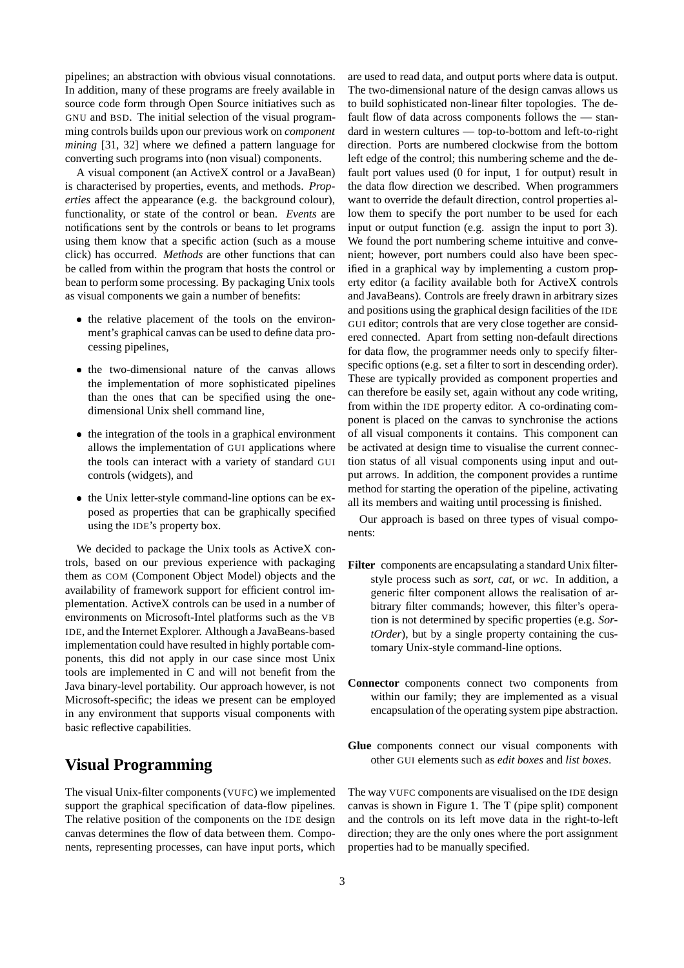pipelines; an abstraction with obvious visual connotations. In addition, many of these programs are freely available in source code form through Open Source initiatives such as GNU and BSD. The initial selection of the visual programming controls builds upon our previous work on *component mining* [31, 32] where we defined a pattern language for converting such programs into (non visual) components.

A visual component (an ActiveX control or a JavaBean) is characterised by properties, events, and methods. *Properties* affect the appearance (e.g. the background colour), functionality, or state of the control or bean. *Events* are notifications sent by the controls or beans to let programs using them know that a specific action (such as a mouse click) has occurred. *Methods* are other functions that can be called from within the program that hosts the control or bean to perform some processing. By packaging Unix tools as visual components we gain a number of benefits:

- the relative placement of the tools on the environment's graphical canvas can be used to define data processing pipelines,
- the two-dimensional nature of the canvas allows the implementation of more sophisticated pipelines than the ones that can be specified using the onedimensional Unix shell command line,
- the integration of the tools in a graphical environment allows the implementation of GUI applications where the tools can interact with a variety of standard GUI controls (widgets), and
- the Unix letter-style command-line options can be exposed as properties that can be graphically specified using the IDE's property box.

We decided to package the Unix tools as ActiveX controls, based on our previous experience with packaging them as COM (Component Object Model) objects and the availability of framework support for efficient control implementation. ActiveX controls can be used in a number of environments on Microsoft-Intel platforms such as the VB IDE, and the Internet Explorer. Although a JavaBeans-based implementation could have resulted in highly portable components, this did not apply in our case since most Unix tools are implemented in C and will not benefit from the Java binary-level portability. Our approach however, is not Microsoft-specific; the ideas we present can be employed in any environment that supports visual components with basic reflective capabilities.

## **Visual Programming**

The visual Unix-filter components (VUFC) we implemented support the graphical specification of data-flow pipelines. The relative position of the components on the IDE design canvas determines the flow of data between them. Components, representing processes, can have input ports, which

are used to read data, and output ports where data is output. The two-dimensional nature of the design canvas allows us to build sophisticated non-linear filter topologies. The default flow of data across components follows the — standard in western cultures — top-to-bottom and left-to-right direction. Ports are numbered clockwise from the bottom left edge of the control; this numbering scheme and the default port values used (0 for input, 1 for output) result in the data flow direction we described. When programmers want to override the default direction, control properties allow them to specify the port number to be used for each input or output function (e.g. assign the input to port 3). We found the port numbering scheme intuitive and convenient; however, port numbers could also have been specified in a graphical way by implementing a custom property editor (a facility available both for ActiveX controls and JavaBeans). Controls are freely drawn in arbitrary sizes and positions using the graphical design facilities of the IDE GUI editor; controls that are very close together are considered connected. Apart from setting non-default directions for data flow, the programmer needs only to specify filterspecific options (e.g. set a filter to sort in descending order). These are typically provided as component properties and can therefore be easily set, again without any code writing, from within the IDE property editor. A co-ordinating component is placed on the canvas to synchronise the actions of all visual components it contains. This component can be activated at design time to visualise the current connection status of all visual components using input and output arrows. In addition, the component provides a runtime method for starting the operation of the pipeline, activating all its members and waiting until processing is finished.

Our approach is based on three types of visual components:

- **Filter** components are encapsulating a standard Unix filterstyle process such as *sort*, *cat*, or *wc*. In addition, a generic filter component allows the realisation of arbitrary filter commands; however, this filter's operation is not determined by specific properties (e.g. *SortOrder*), but by a single property containing the customary Unix-style command-line options.
- **Connector** components connect two components from within our family; they are implemented as a visual encapsulation of the operating system pipe abstraction.
- **Glue** components connect our visual components with other GUI elements such as *edit boxes* and *list boxes*.

The way VUFC components are visualised on the IDE design canvas is shown in Figure 1. The T (pipe split) component and the controls on its left move data in the right-to-left direction; they are the only ones where the port assignment properties had to be manually specified.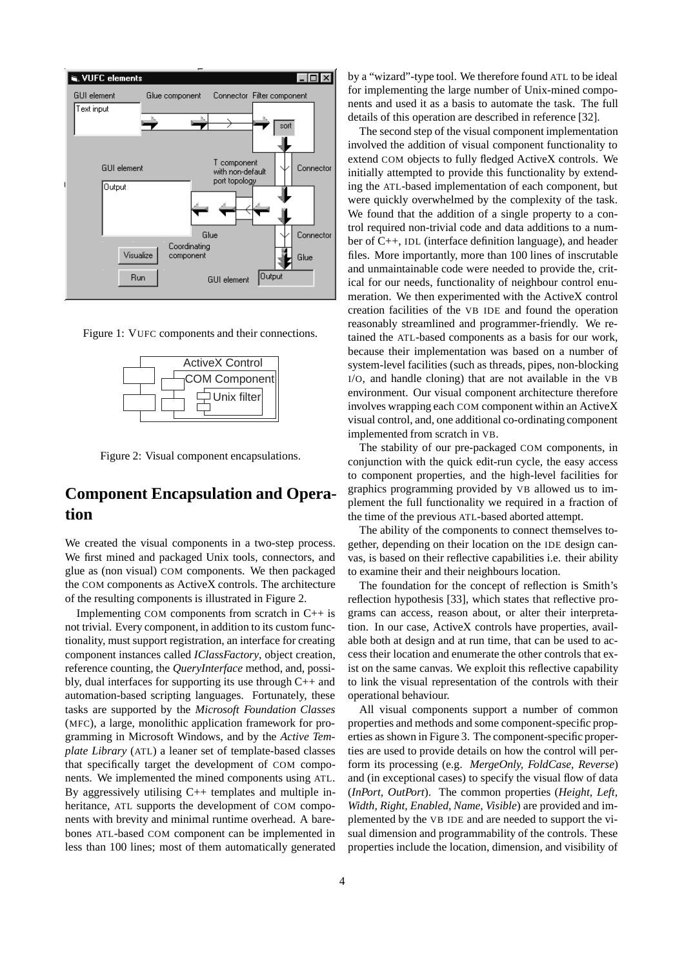

Figure 1: VUFC components and their connections.



Figure 2: Visual component encapsulations.

## **Component Encapsulation and Operation**

We created the visual components in a two-step process. We first mined and packaged Unix tools, connectors, and glue as (non visual) COM components. We then packaged the COM components as ActiveX controls. The architecture of the resulting components is illustrated in Figure 2.

Implementing COM components from scratch in C++ is not trivial. Every component, in addition to its custom functionality, must support registration, an interface for creating component instances called *IClassFactory*, object creation, reference counting, the *QueryInterface* method, and, possibly, dual interfaces for supporting its use through C++ and automation-based scripting languages. Fortunately, these tasks are supported by the *Microsoft Foundation Classes* (MFC), a large, monolithic application framework for programming in Microsoft Windows, and by the *Active Template Library* (ATL) a leaner set of template-based classes that specifically target the development of COM components. We implemented the mined components using ATL. By aggressively utilising  $C++$  templates and multiple inheritance, ATL supports the development of COM components with brevity and minimal runtime overhead. A barebones ATL-based COM component can be implemented in less than 100 lines; most of them automatically generated

by a "wizard"-type tool. We therefore found ATL to be ideal for implementing the large number of Unix-mined components and used it as a basis to automate the task. The full details of this operation are described in reference [32].

The second step of the visual component implementation involved the addition of visual component functionality to extend COM objects to fully fledged ActiveX controls. We initially attempted to provide this functionality by extending the ATL-based implementation of each component, but were quickly overwhelmed by the complexity of the task. We found that the addition of a single property to a control required non-trivial code and data additions to a number of C++, IDL (interface definition language), and header files. More importantly, more than 100 lines of inscrutable and unmaintainable code were needed to provide the, critical for our needs, functionality of neighbour control enumeration. We then experimented with the ActiveX control creation facilities of the VB IDE and found the operation reasonably streamlined and programmer-friendly. We retained the ATL-based components as a basis for our work, because their implementation was based on a number of system-level facilities (such as threads, pipes, non-blocking I/O, and handle cloning) that are not available in the VB environment. Our visual component architecture therefore involves wrapping each COM component within an ActiveX visual control, and, one additional co-ordinating component implemented from scratch in VB.

The stability of our pre-packaged COM components, in conjunction with the quick edit-run cycle, the easy access to component properties, and the high-level facilities for graphics programming provided by VB allowed us to implement the full functionality we required in a fraction of the time of the previous ATL-based aborted attempt.

The ability of the components to connect themselves together, depending on their location on the IDE design canvas, is based on their reflective capabilities i.e. their ability to examine their and their neighbours location.

The foundation for the concept of reflection is Smith's reflection hypothesis [33], which states that reflective programs can access, reason about, or alter their interpretation. In our case, ActiveX controls have properties, available both at design and at run time, that can be used to access their location and enumerate the other controls that exist on the same canvas. We exploit this reflective capability to link the visual representation of the controls with their operational behaviour.

All visual components support a number of common properties and methods and some component-specific properties as shown in Figure 3. The component-specific properties are used to provide details on how the control will perform its processing (e.g. *MergeOnly, FoldCase, Reverse*) and (in exceptional cases) to specify the visual flow of data (*InPort, OutPort*). The common properties (*Height, Left, Width, Right, Enabled, Name, Visible*) are provided and implemented by the VB IDE and are needed to support the visual dimension and programmability of the controls. These properties include the location, dimension, and visibility of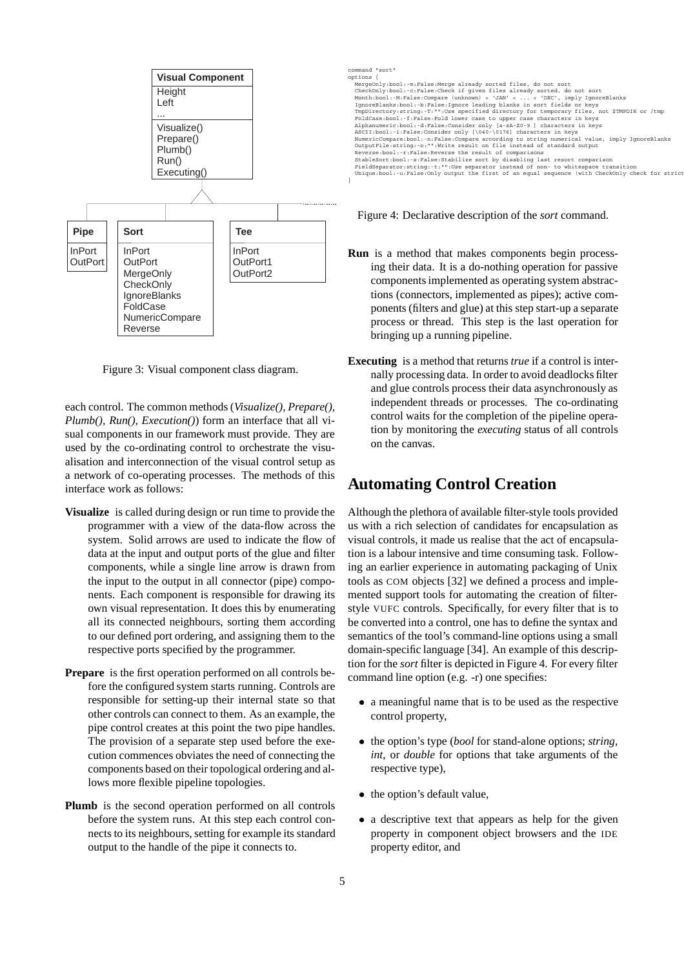

Figure 3: Visual component class diagram.

each control. The common methods (*Visualize(), Prepare(), Plumb(), Run(), Execution()*) form an interface that all visual components in our framework must provide. They are used by the co-ordinating control to orchestrate the visualisation and interconnection of the visual control setup as a network of co-operating processes. The methods of this interface work as follows:

- **Visualize** is called during design or run time to provide the programmer with a view of the data-flow across the system. Solid arrows are used to indicate the flow of data at the input and output ports of the glue and filter components, while a single line arrow is drawn from the input to the output in all connector (pipe) components. Each component is responsible for drawing its own visual representation. It does this by enumerating all its connected neighbours, sorting them according to our defined port ordering, and assigning them to the respective ports specified by the programmer.
- **Prepare** is the first operation performed on all controls before the configured system starts running. Controls are responsible for setting-up their internal state so that other controls can connect to them. As an example, the pipe control creates at this point the two pipe handles. The provision of a separate step used before the execution commences obviates the need of connecting the components based on their topological ordering and allows more flexible pipeline topologies.
- **Plumb** is the second operation performed on all controls before the system runs. At this step each control connects to its neighbours, setting for example its standard output to the handle of the pipe it connects to.



Figure 4: Declarative description of the *sort* command.

}

- **Run** is a method that makes components begin processing their data. It is a do-nothing operation for passive components implemented as operating system abstractions (connectors, implemented as pipes); active components (filters and glue) at this step start-up a separate process or thread. This step is the last operation for bringing up a running pipeline.
- **Executing** is a method that returns *true* if a control is internally processing data. In order to avoid deadlocks filter and glue controls process their data asynchronously as independent threads or processes. The co-ordinating control waits for the completion of the pipeline operation by monitoring the *executing* status of all controls on the canvas.

#### **Automating Control Creation**

Although the plethora of available filter-style tools provided us with a rich selection of candidates for encapsulation as visual controls, it made us realise that the act of encapsulation is a labour intensive and time consuming task. Following an earlier experience in automating packaging of Unix tools as COM objects [32] we defined a process and implemented support tools for automating the creation of filterstyle VUFC controls. Specifically, for every filter that is to be converted into a control, one has to define the syntax and semantics of the tool's command-line options using a small domain-specific language [34]. An example of this description for the *sort* filter is depicted in Figure 4. For every filter command line option (e.g. -r) one specifies:

- a meaningful name that is to be used as the respective control property,
- the option's type (*bool* for stand-alone options; *string*, *int*, or *double* for options that take arguments of the respective type),
- the option's default value,
- a descriptive text that appears as help for the given property in component object browsers and the IDE property editor, and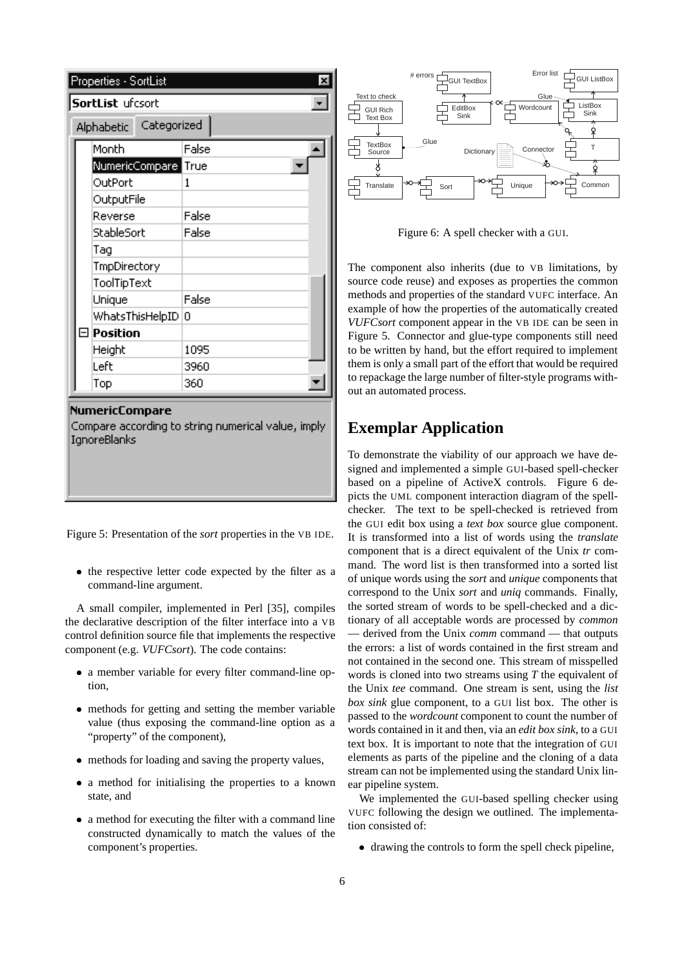| Properties - SortList                                                |                     |       |
|----------------------------------------------------------------------|---------------------|-------|
| SortList ufcsort                                                     |                     |       |
| Categorized<br>Alphabetic                                            |                     |       |
|                                                                      | Month               | False |
|                                                                      | NumericCompare      | True  |
|                                                                      | OutPort             | 1     |
|                                                                      | OutputFile          |       |
|                                                                      | Reverse             | False |
|                                                                      | <b>StableSort</b>   | False |
|                                                                      | Tag                 |       |
|                                                                      | TmpDirectory        |       |
|                                                                      | ToolTipText         |       |
|                                                                      | Unique              | False |
|                                                                      | WhatsThisHelpID   0 |       |
| ╕                                                                    | <b>Position</b>     |       |
|                                                                      | Height              | 1095  |
|                                                                      | Left                | 3960  |
|                                                                      | Top                 | 360   |
|                                                                      |                     |       |
| NumericCompare<br>Compare according to string numerical value, imply |                     |       |
| IgnoreBlanks                                                         |                     |       |

Figure 5: Presentation of the *sort* properties in the VB IDE.

• the respective letter code expected by the filter as a command-line argument.

A small compiler, implemented in Perl [35], compiles the declarative description of the filter interface into a VB control definition source file that implements the respective component (e.g. *VUFCsort*). The code contains:

- a member variable for every filter command-line option,
- methods for getting and setting the member variable value (thus exposing the command-line option as a "property" of the component),
- methods for loading and saving the property values,
- a method for initialising the properties to a known state, and
- a method for executing the filter with a command line constructed dynamically to match the values of the component's properties.



Figure 6: A spell checker with a GUI.

The component also inherits (due to VB limitations, by source code reuse) and exposes as properties the common methods and properties of the standard VUFC interface. An example of how the properties of the automatically created *VUFCsort* component appear in the VB IDE can be seen in Figure 5. Connector and glue-type components still need to be written by hand, but the effort required to implement them is only a small part of the effort that would be required to repackage the large number of filter-style programs without an automated process.

## **Exemplar Application**

To demonstrate the viability of our approach we have designed and implemented a simple GUI-based spell-checker based on a pipeline of ActiveX controls. Figure 6 depicts the UML component interaction diagram of the spellchecker. The text to be spell-checked is retrieved from the GUI edit box using a *text box* source glue component. It is transformed into a list of words using the *translate* component that is a direct equivalent of the Unix *tr* command. The word list is then transformed into a sorted list of unique words using the *sort* and *unique* components that correspond to the Unix *sort* and *uniq* commands. Finally, the sorted stream of words to be spell-checked and a dictionary of all acceptable words are processed by *common* — derived from the Unix *comm* command — that outputs the errors: a list of words contained in the first stream and not contained in the second one. This stream of misspelled words is cloned into two streams using *T* the equivalent of the Unix *tee* command. One stream is sent, using the *list box sink* glue component, to a GUI list box. The other is passed to the *wordcount* component to count the number of words contained in it and then, via an *edit box sink*, to a GUI text box. It is important to note that the integration of GUI elements as parts of the pipeline and the cloning of a data stream can not be implemented using the standard Unix linear pipeline system.

We implemented the GUI-based spelling checker using VUFC following the design we outlined. The implementation consisted of:

drawing the controls to form the spell check pipeline,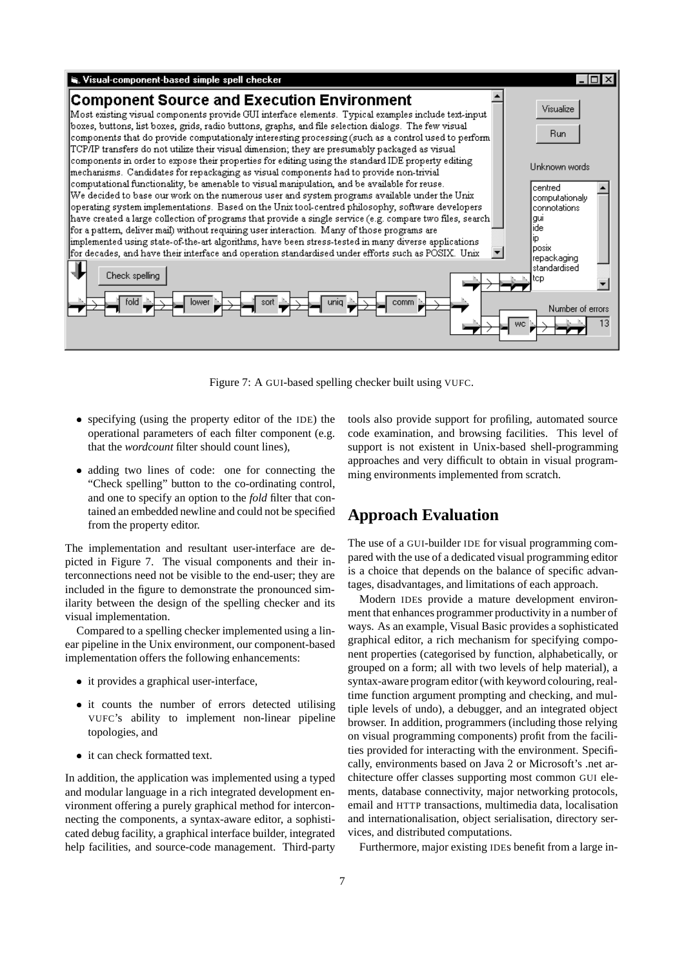

Figure 7: A GUI-based spelling checker built using VUFC.

- specifying (using the property editor of the IDE) the operational parameters of each filter component (e.g. that the *wordcount* filter should count lines),
- adding two lines of code: one for connecting the "Check spelling" button to the co-ordinating control, and one to specify an option to the *fold* filter that contained an embedded newline and could not be specified from the property editor.

The implementation and resultant user-interface are depicted in Figure 7. The visual components and their interconnections need not be visible to the end-user; they are included in the figure to demonstrate the pronounced similarity between the design of the spelling checker and its visual implementation.

Compared to a spelling checker implemented using a linear pipeline in the Unix environment, our component-based implementation offers the following enhancements:

- it provides a graphical user-interface,
- it counts the number of errors detected utilising VUFC's ability to implement non-linear pipeline topologies, and
- it can check formatted text.

In addition, the application was implemented using a typed and modular language in a rich integrated development environment offering a purely graphical method for interconnecting the components, a syntax-aware editor, a sophisticated debug facility, a graphical interface builder, integrated help facilities, and source-code management. Third-party tools also provide support for profiling, automated source code examination, and browsing facilities. This level of support is not existent in Unix-based shell-programming approaches and very difficult to obtain in visual programming environments implemented from scratch.

#### **Approach Evaluation**

The use of a GUI-builder IDE for visual programming compared with the use of a dedicated visual programming editor is a choice that depends on the balance of specific advantages, disadvantages, and limitations of each approach.

Modern IDEs provide a mature development environment that enhances programmer productivity in a number of ways. As an example, Visual Basic provides a sophisticated graphical editor, a rich mechanism for specifying component properties (categorised by function, alphabetically, or grouped on a form; all with two levels of help material), a syntax-aware program editor (with keyword colouring, realtime function argument prompting and checking, and multiple levels of undo), a debugger, and an integrated object browser. In addition, programmers (including those relying on visual programming components) profit from the facilities provided for interacting with the environment. Specifically, environments based on Java 2 or Microsoft's .net architecture offer classes supporting most common GUI elements, database connectivity, major networking protocols, email and HTTP transactions, multimedia data, localisation and internationalisation, object serialisation, directory services, and distributed computations.

Furthermore, major existing IDEs benefit from a large in-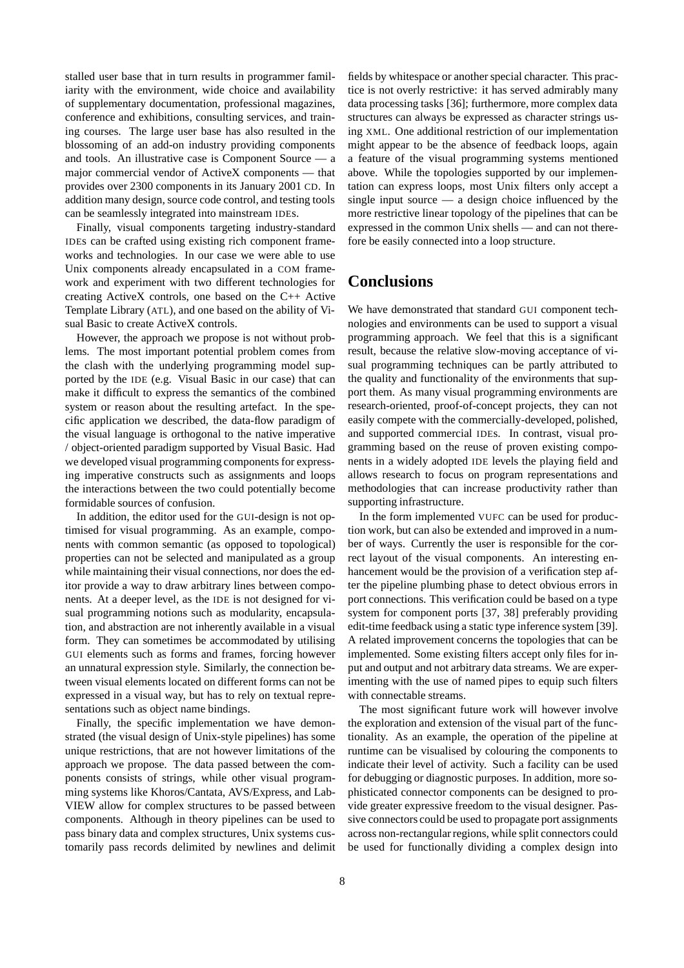stalled user base that in turn results in programmer familiarity with the environment, wide choice and availability of supplementary documentation, professional magazines, conference and exhibitions, consulting services, and training courses. The large user base has also resulted in the blossoming of an add-on industry providing components and tools. An illustrative case is Component Source — a major commercial vendor of ActiveX components — that provides over 2300 components in its January 2001 CD. In addition many design, source code control, and testing tools can be seamlessly integrated into mainstream IDEs.

Finally, visual components targeting industry-standard IDEs can be crafted using existing rich component frameworks and technologies. In our case we were able to use Unix components already encapsulated in a COM framework and experiment with two different technologies for creating ActiveX controls, one based on the C++ Active Template Library (ATL), and one based on the ability of Visual Basic to create ActiveX controls.

However, the approach we propose is not without problems. The most important potential problem comes from the clash with the underlying programming model supported by the IDE (e.g. Visual Basic in our case) that can make it difficult to express the semantics of the combined system or reason about the resulting artefact. In the specific application we described, the data-flow paradigm of the visual language is orthogonal to the native imperative / object-oriented paradigm supported by Visual Basic. Had we developed visual programming components for expressing imperative constructs such as assignments and loops the interactions between the two could potentially become formidable sources of confusion.

In addition, the editor used for the GUI-design is not optimised for visual programming. As an example, components with common semantic (as opposed to topological) properties can not be selected and manipulated as a group while maintaining their visual connections, nor does the editor provide a way to draw arbitrary lines between components. At a deeper level, as the IDE is not designed for visual programming notions such as modularity, encapsulation, and abstraction are not inherently available in a visual form. They can sometimes be accommodated by utilising GUI elements such as forms and frames, forcing however an unnatural expression style. Similarly, the connection between visual elements located on different forms can not be expressed in a visual way, but has to rely on textual representations such as object name bindings.

Finally, the specific implementation we have demonstrated (the visual design of Unix-style pipelines) has some unique restrictions, that are not however limitations of the approach we propose. The data passed between the components consists of strings, while other visual programming systems like Khoros/Cantata, AVS/Express, and Lab-VIEW allow for complex structures to be passed between components. Although in theory pipelines can be used to pass binary data and complex structures, Unix systems customarily pass records delimited by newlines and delimit

fields by whitespace or another special character. This practice is not overly restrictive: it has served admirably many data processing tasks [36]; furthermore, more complex data structures can always be expressed as character strings using XML. One additional restriction of our implementation might appear to be the absence of feedback loops, again a feature of the visual programming systems mentioned above. While the topologies supported by our implementation can express loops, most Unix filters only accept a single input source — a design choice influenced by the more restrictive linear topology of the pipelines that can be expressed in the common Unix shells — and can not therefore be easily connected into a loop structure.

## **Conclusions**

We have demonstrated that standard GUI component technologies and environments can be used to support a visual programming approach. We feel that this is a significant result, because the relative slow-moving acceptance of visual programming techniques can be partly attributed to the quality and functionality of the environments that support them. As many visual programming environments are research-oriented, proof-of-concept projects, they can not easily compete with the commercially-developed, polished, and supported commercial IDEs. In contrast, visual programming based on the reuse of proven existing components in a widely adopted IDE levels the playing field and allows research to focus on program representations and methodologies that can increase productivity rather than supporting infrastructure.

In the form implemented VUFC can be used for production work, but can also be extended and improved in a number of ways. Currently the user is responsible for the correct layout of the visual components. An interesting enhancement would be the provision of a verification step after the pipeline plumbing phase to detect obvious errors in port connections. This verification could be based on a type system for component ports [37, 38] preferably providing edit-time feedback using a static type inference system [39]. A related improvement concerns the topologies that can be implemented. Some existing filters accept only files for input and output and not arbitrary data streams. We are experimenting with the use of named pipes to equip such filters with connectable streams.

The most significant future work will however involve the exploration and extension of the visual part of the functionality. As an example, the operation of the pipeline at runtime can be visualised by colouring the components to indicate their level of activity. Such a facility can be used for debugging or diagnostic purposes. In addition, more sophisticated connector components can be designed to provide greater expressive freedom to the visual designer. Passive connectors could be used to propagate port assignments across non-rectangular regions, while split connectors could be used for functionally dividing a complex design into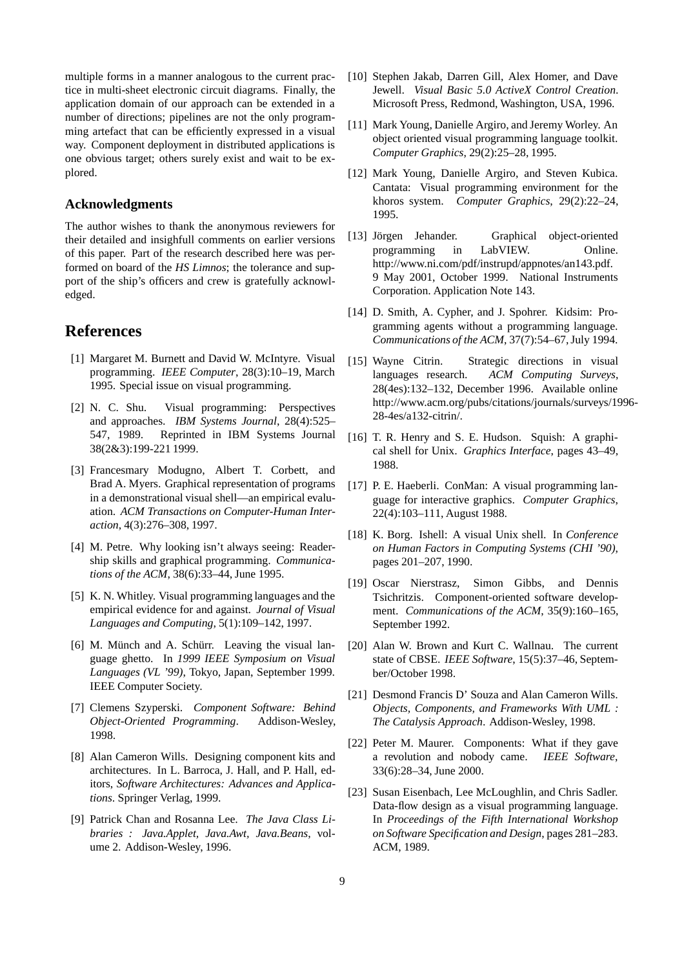multiple forms in a manner analogous to the current practice in multi-sheet electronic circuit diagrams. Finally, the application domain of our approach can be extended in a number of directions; pipelines are not the only programming artefact that can be efficiently expressed in a visual way. Component deployment in distributed applications is one obvious target; others surely exist and wait to be explored.

#### **Acknowledgments**

The author wishes to thank the anonymous reviewers for their detailed and insighfull comments on earlier versions of this paper. Part of the research described here was performed on board of the *HS Limnos*; the tolerance and support of the ship's officers and crew is gratefully acknowledged.

#### **References**

- [1] Margaret M. Burnett and David W. McIntyre. Visual programming. *IEEE Computer*, 28(3):10–19, March 1995. Special issue on visual programming.
- [2] N. C. Shu. Visual programming: Perspectives and approaches. *IBM Systems Journal*, 28(4):525– 547, 1989. Reprinted in IBM Systems Journal 38(2&3):199-221 1999.
- [3] Francesmary Modugno, Albert T. Corbett, and Brad A. Myers. Graphical representation of programs in a demonstrational visual shell—an empirical evaluation. *ACM Transactions on Computer-Human Interaction*, 4(3):276–308, 1997.
- [4] M. Petre. Why looking isn't always seeing: Readership skills and graphical programming. *Communications of the ACM*, 38(6):33–44, June 1995.
- [5] K. N. Whitley. Visual programming languages and the empirical evidence for and against. *Journal of Visual Languages and Computing*, 5(1):109–142, 1997.
- [6] M. Münch and A. Schürr. Leaving the visual language ghetto. In *1999 IEEE Symposium on Visual Languages (VL '99)*, Tokyo, Japan, September 1999. IEEE Computer Society.
- [7] Clemens Szyperski. *Component Software: Behind Object-Oriented Programming*. Addison-Wesley, 1998.
- [8] Alan Cameron Wills. Designing component kits and architectures. In L. Barroca, J. Hall, and P. Hall, editors, *Software Architectures: Advances and Applications*. Springer Verlag, 1999.
- [9] Patrick Chan and Rosanna Lee. *The Java Class Libraries : Java.Applet, Java.Awt, Java.Beans*, volume 2. Addison-Wesley, 1996.
- [10] Stephen Jakab, Darren Gill, Alex Homer, and Dave Jewell. *Visual Basic 5.0 ActiveX Control Creation*. Microsoft Press, Redmond, Washington, USA, 1996.
- [11] Mark Young, Danielle Argiro, and Jeremy Worley. An object oriented visual programming language toolkit. *Computer Graphics*, 29(2):25–28, 1995.
- [12] Mark Young, Danielle Argiro, and Steven Kubica. Cantata: Visual programming environment for the khoros system. *Computer Graphics*, 29(2):22–24, 1995.
- [13] Jörgen Jehander. Graphical object-oriented programming in LabVIEW. Online. http://www.ni.com/pdf/instrupd/appnotes/an143.pdf. 9 May 2001, October 1999. National Instruments Corporation. Application Note 143.
- [14] D. Smith, A. Cypher, and J. Spohrer. Kidsim: Programming agents without a programming language. *Communications of the ACM*, 37(7):54–67, July 1994.
- [15] Wayne Citrin. Strategic directions in visual languages research. *ACM Computing Surveys*, 28(4es):132–132, December 1996. Available online http://www.acm.org/pubs/citations/journals/surveys/1996- 28-4es/a132-citrin/.
- [16] T. R. Henry and S. E. Hudson. Squish: A graphical shell for Unix. *Graphics Interface*, pages 43–49, 1988.
- [17] P. E. Haeberli. ConMan: A visual programming language for interactive graphics. *Computer Graphics*, 22(4):103–111, August 1988.
- [18] K. Borg. Ishell: A visual Unix shell. In *Conference on Human Factors in Computing Systems (CHI '90)*, pages 201–207, 1990.
- [19] Oscar Nierstrasz, Simon Gibbs, and Dennis Tsichritzis. Component-oriented software development. *Communications of the ACM*, 35(9):160–165, September 1992.
- [20] Alan W. Brown and Kurt C. Wallnau. The current state of CBSE. *IEEE Software*, 15(5):37–46, September/October 1998.
- [21] Desmond Francis D' Souza and Alan Cameron Wills. *Objects, Components, and Frameworks With UML : The Catalysis Approach*. Addison-Wesley, 1998.
- [22] Peter M. Maurer. Components: What if they gave a revolution and nobody came. *IEEE Software*, 33(6):28–34, June 2000.
- [23] Susan Eisenbach, Lee McLoughlin, and Chris Sadler. Data-flow design as a visual programming language. In *Proceedings of the Fifth International Workshop on Software Specification and Design*, pages 281–283. ACM, 1989.